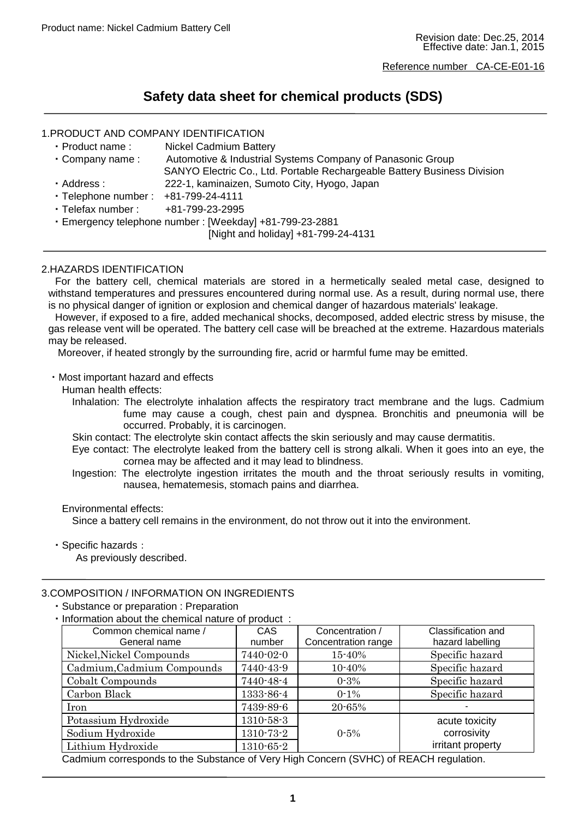### Reference number CA-CE-E01-16

# **Safety data sheet for chemical products (SDS)**

### 1.PRODUCT AND COMPANY IDENTIFICATION

| רוטוואטרווויסט ווואט שרא וואס אין א                      |                                                                          |  |  |  |
|----------------------------------------------------------|--------------------------------------------------------------------------|--|--|--|
| · Product name:                                          | <b>Nickel Cadmium Battery</b>                                            |  |  |  |
| $\cdot$ Company name:                                    | Automotive & Industrial Systems Company of Panasonic Group               |  |  |  |
|                                                          | SANYO Electric Co., Ltd. Portable Rechargeable Battery Business Division |  |  |  |
| · Address :                                              | 222-1, kaminaizen, Sumoto City, Hyogo, Japan                             |  |  |  |
| · Telephone number :                                     | +81-799-24-4111                                                          |  |  |  |
| · Telefax number:                                        | +81-799-23-2995                                                          |  |  |  |
| · Emergency telephone number : [Weekday] +81-799-23-2881 |                                                                          |  |  |  |
|                                                          | [Night and holiday] +81-799-24-4131                                      |  |  |  |
|                                                          |                                                                          |  |  |  |

### 2.HAZARDS IDENTIFICATION

 For the battery cell, chemical materials are stored in a hermetically sealed metal case, designed to withstand temperatures and pressures encountered during normal use. As a result, during normal use, there is no physical danger of ignition or explosion and chemical danger of hazardous materials' leakage.

 However, if exposed to a fire, added mechanical shocks, decomposed, added electric stress by misuse, the gas release vent will be operated. The battery cell case will be breached at the extreme. Hazardous materials may be released.

Moreover, if heated strongly by the surrounding fire, acrid or harmful fume may be emitted.

### ・Most important hazard and effects

Human health effects:

- Inhalation: The electrolyte inhalation affects the respiratory tract membrane and the lugs. Cadmium fume may cause a cough, chest pain and dyspnea. Bronchitis and pneumonia will be occurred. Probably, it is carcinogen.
- Skin contact: The electrolyte skin contact affects the skin seriously and may cause dermatitis.
- Eye contact: The electrolyte leaked from the battery cell is strong alkali. When it goes into an eye, the cornea may be affected and it may lead to blindness.
- Ingestion: The electrolyte ingestion irritates the mouth and the throat seriously results in vomiting, nausea, hematemesis, stomach pains and diarrhea.

### Environmental effects:

Since a battery cell remains in the environment, do not throw out it into the environment.

・Specific hazards:

As previously described.

### 3.COMPOSITION / INFORMATION ON INGREDIENTS

・Substance or preparation : Preparation

### ・Information about the chemical nature of product :

| Common chemical name /<br>General name | CAS.<br>number | Concentration /<br>Concentration range | Classification and<br>hazard labelling |
|----------------------------------------|----------------|----------------------------------------|----------------------------------------|
| Nickel, Nickel Compounds               | 7440-02-0      | 15-40%                                 | Specific hazard                        |
| Cadmium, Cadmium Compounds             | 7440-43-9      | $10 - 40%$                             | Specific hazard                        |
| Cobalt Compounds                       | 7440-48-4      | $0 - 3\%$                              | Specific hazard                        |
| Carbon Black                           | 1333-86-4      | $0-1\%$                                | Specific hazard                        |
| Iron                                   | 7439-89-6      | $20 - 65%$                             |                                        |
| Potassium Hydroxide                    | 1310-58-3      |                                        | acute toxicity                         |
| Sodium Hydroxide                       | 1310-73-2      | $0 - 5\%$                              | corrosivity                            |
| Lithium Hydroxide                      | 1310-65-2      |                                        | irritant property                      |

Cadmium corresponds to the Substance of Very High Concern (SVHC) of REACH regulation.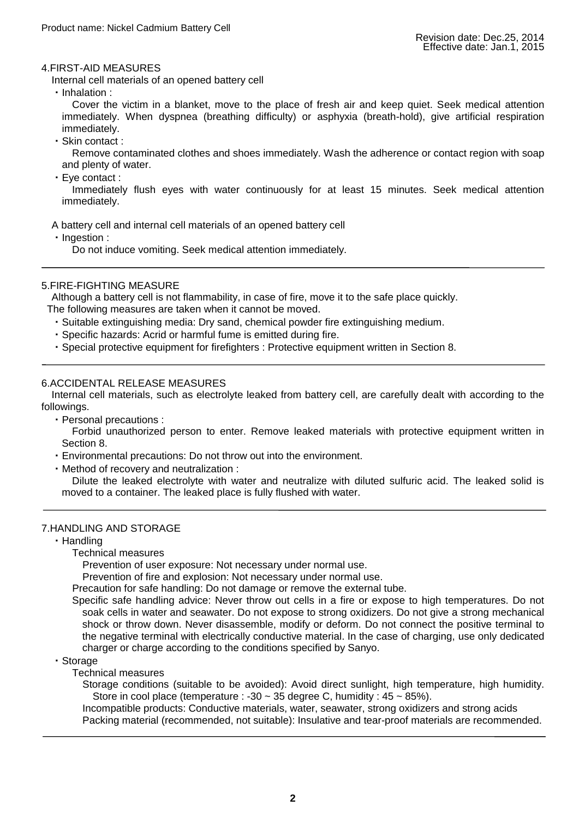### 4.FIRST-AID MEASURES

Internal cell materials of an opened battery cell

· Inhalation :

 ・Inhalation : Cover the victim in a blanket, move to the place of fresh air and keep quiet. Seek medical attention immediately. When dyspnea (breathing difficulty) or asphyxia (breath-hold), give artificial respiration immediately.

・Skin contact :

 Remove contaminated clothes and shoes immediately. Wash the adherence or contact region with soap and plenty of water.

・Eye contact :

 Immediately flush eyes with water continuously for at least 15 minutes. Seek medical attention immediately.

A battery cell and internal cell materials of an opened battery cell

・Ingestion :

Do not induce vomiting. Seek medical attention immediately.

### 5.FIRE-FIGHTING MEASURE

Although a battery cell is not flammability, in case of fire, move it to the safe place quickly.

- ・Suitable extinguishing media: Dry sand, chemical powder fire extinguishing medium. The following measures are taken when it cannot be moved.
	-
	- ・Specific hazards: Acrid or harmful fume is emitted during fire.
	- ・Special protective equipment for firefighters : Protective equipment written in Section 8.

### 6.ACCIDENTAL RELEASE MEASURES

 Internal cell materials, such as electrolyte leaked from battery cell, are carefully dealt with according to the followings.

· Personal precautions :

Forbid unauthorized person to enter. Remove leaked materials with protective equipment written in Section 8.

・Environmental precautions: Do not throw out into the environment.

・Method of recovery and neutralization :

 moved to a container. The leaked place is fully flushed with water. Dilute the leaked electrolyte with water and neutralize with diluted sulfuric acid. The leaked solid is

### 7.HANDLING AND STORAGE

・Handling

Technical measures

Prevention of user exposure: Not necessary under normal use.

Prevention of fire and explosion: Not necessary under normal use.

Precaution for safe handling: Do not damage or remove the external tube.

 Specific safe handling advice: Never throw out cells in a fire or expose to high temperatures. Do not soak cells in water and seawater. Do not expose to strong oxidizers. Do not give a strong mechanical shock or throw down. Never disassemble, modify or deform. Do not connect the positive terminal to the negative terminal with electrically conductive material. In the case of charging, use only dedicated charger or charge according to the conditions specified by Sanyo.

・Storage

Technical measures

 Storage conditions (suitable to be avoided): Avoid direct sunlight, high temperature, high humidity. Store in cool place (temperature  $: -30 \sim 35$  degree C, humidity :  $45 \sim 85\%$ ).

 Incompatible products: Conductive materials, water, seawater, strong oxidizers and strong acids Packing material (recommended, not suitable): Insulative and tear-proof materials are recommended.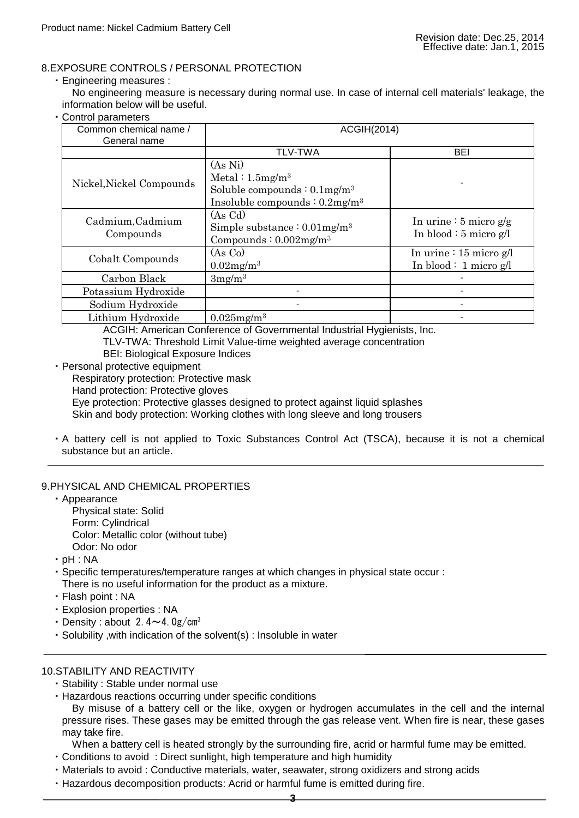### 8.EXPOSURE CONTROLS / PERSONAL PROTECTION

- · Engineering measures :
- ・Engineering measures : No engineering measure is necessary during normal use. In case of internal cell materials' leakage, the information below will be useful.
- ・Control parameters

| Common chemical name /<br>General name | <b>ACGIH(2014)</b>                                                                                                                       |                                                        |  |
|----------------------------------------|------------------------------------------------------------------------------------------------------------------------------------------|--------------------------------------------------------|--|
|                                        | <b>TLV-TWA</b>                                                                                                                           | <b>BEI</b>                                             |  |
| Nickel, Nickel Compounds               | $(As\ Ni)$<br>Meta: 1.5mg/m <sup>3</sup><br>Soluble compounds : $0.1$ mg/m <sup>3</sup><br>Insoluble compounds : $0.2$ mg/m <sup>3</sup> |                                                        |  |
| Cadmium, Cadmium<br>Compounds          | (As Cd)<br>Simple substance $: 0.01$ mg/m <sup>3</sup><br>Compounds: $0.002$ mg/m <sup>3</sup>                                           | In urine : $5$ micro $g/g$<br>In blood $: 5$ micro g/l |  |
| Cobalt Compounds                       | (As Co)<br>$0.02$ mg/m <sup>3</sup>                                                                                                      | In urine $: 15$ micro g/l<br>In blood : 1 micro $g/l$  |  |
| Carbon Black                           | 3mg/m <sup>3</sup>                                                                                                                       |                                                        |  |
| Potassium Hydroxide                    |                                                                                                                                          |                                                        |  |
| Sodium Hydroxide                       |                                                                                                                                          |                                                        |  |
| Lithium Hydroxide                      | $0.025$ mg/m <sup>3</sup>                                                                                                                |                                                        |  |

ACGIH: American Conference of Governmental Industrial Hygienists, Inc.

TLV-TWA: Threshold Limit Value-time weighted average concentration

BEI: Biological Exposure Indices

・Personal protective equipment

Respiratory protection: Protective mask

Hand protection: Protective gloves

Eye protection: Protective glasses designed to protect against liquid splashes

Skin and body protection: Working clothes with long sleeve and long trousers

 ・A battery cell is not applied to Toxic Substances Control Act (TSCA), because it is not a chemical substance but an article.

### 9.PHYSICAL AND CHEMICAL PROPERTIES

- Physical state: Solid Form: Cylindrical Odor: No odor ・Appearance Color: Metallic color (without tube)
- ・pH : NA
- ・Specific temperatures/temperature ranges at which changes in physical state occur : There is no useful information for the product as a mixture.
- ・Flash point : NA
- ・Explosion properties : NA
- Density : about 2.4 $\sim$ 4.0g/cm<sup>3</sup>
- ・Solubility ,with indication of the solvent(s) : Insoluble in water

### 10.STABILITY AND REACTIVITY

- ・Stability : Stable under normal use
- ・Hazardous reactions occurring under specific conditions

 By misuse of a battery cell or the like, oxygen or hydrogen accumulates in the cell and the internal pressure rises. These gases may be emitted through the gas release vent. When fire is near, these gases may take fire.

When a battery cell is heated strongly by the surrounding fire, acrid or harmful fume may be emitted.

- ・Conditions to avoid : Direct sunlight, high temperature and high humidity
- ・Materials to avoid : Conductive materials, water, seawater, strong oxidizers and strong acids
- ・Hazardous decomposition products: Acrid or harmful fume is emitted during fire.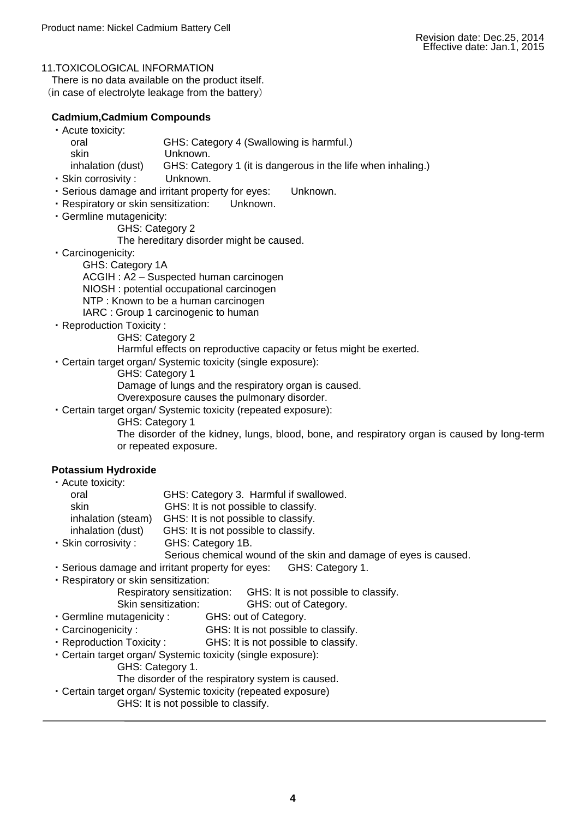# 11.TOXICOLOGICAL INFORMATION

 There is no data available on the product itself. (in case of electrolyte leakage from the battery)

### **Cadmium,Cadmium Compounds**

| • Acute toxicity:   |                                                              |
|---------------------|--------------------------------------------------------------|
| oral                | GHS: Category 4 (Swallowing is harmful.)                     |
| skin                | Unknown.                                                     |
| inhalation (dust)   | GHS: Category 1 (it is dangerous in the life when inhaling.) |
| . Okin oorroopsitus | Indenous                                                     |

- ・Skin corrosivity : Unknown.
- ・Serious damage and irritant property for eyes: Unknown.
- ・Respiratory or skin sensitization: Unknown.
- ・Germline mutagenicity:

GHS: Category 2

The hereditary disorder might be caused.

・Carcinogenicity:

GHS: Category 1A

ACGIH : A2 – Suspected human carcinogen

NIOSH : potential occupational carcinogen

- NTP : Known to be a human carcinogen
- IARC : Group 1 carcinogenic to human
- ・Reproduction Toxicity :

GHS: Category 2

- Harmful effects on reproductive capacity or fetus might be exerted.
- ・Certain target organ/ Systemic toxicity (single exposure):
	- GHS: Category 1

Damage of lungs and the respiratory organ is caused.

Overexposure causes the pulmonary disorder.

・Certain target organ/ Systemic toxicity (repeated exposure):

GHS: Category 1

 The disorder of the kidney, lungs, blood, bone, and respiratory organ is caused by long-term or repeated exposure.

### **Potassium Hydroxide**

| • Acute toxicity:   |                                                 |
|---------------------|-------------------------------------------------|
| oral                | GHS: Category 3. Harmful if swallowed.          |
| skin                | GHS: It is not possible to classify.            |
| inhalation (steam)  | GHS: It is not possible to classify.            |
| inhalation (dust)   | GHS: It is not possible to classify.            |
| · Skin corrosivity: | GHS: Category 1B.                               |
|                     | Cariana akaminal wayna laƙika akin anal danaana |

- Serious chemical wound of the skin and damage of eyes is caused.
- ・Serious damage and irritant property for eyes: GHS: Category 1.
- ・Respiratory or skin sensitization:

Skin sensitization: GHS: out of Category.

- ・Germline mutagenicity : GHS: out of Category.
- · Carcinogenicity: GHS: It is not possible to classify.
- · Reproduction Toxicity: GHS: It is not possible to classify.
- ・Certain target organ/ Systemic toxicity (single exposure):
	- GHS: Category 1.

The disorder of the respiratory system is caused.

・Certain target organ/ Systemic toxicity (repeated exposure)

GHS: It is not possible to classify.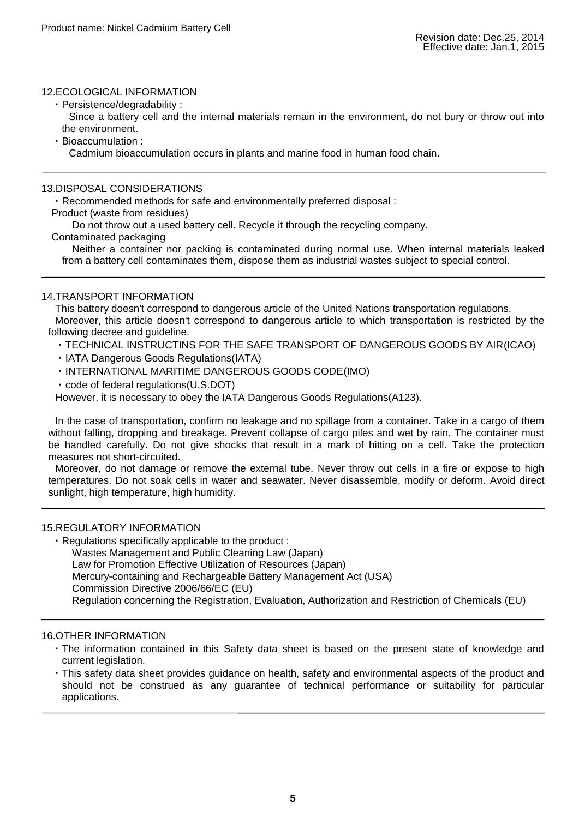#### 12.ECOLOGICAL INFORMATION

・Persistence/degradability :

 Since a battery cell and the internal materials remain in the environment, do not bury or throw out into the environment.

・Bioaccumulation :

Cadmium bioaccumulation occurs in plants and marine food in human food chain.

### 13.DISPOSAL CONSIDERATIONS

・Recommended methods for safe and environmentally preferred disposal :

### Product (waste from residues)

Do not throw out a used battery cell. Recycle it through the recycling company.

### Contaminated packaging

 Neither a container nor packing is contaminated during normal use. When internal materials leaked from a battery cell contaminates them, dispose them as industrial wastes subject to special control.

#### 14.TRANSPORT INFORMATION

This battery doesn't correspond to dangerous article of the United Nations transportation regulations.

 following decree and guideline. Moreover, this article doesn't correspond to dangerous article to which transportation is restricted by the

・TECHNICAL INSTRUCTINS FOR THE SAFE TRANSPORT OF DANGEROUS GOODS BY AIR(ICAO)

- ・IATA Dangerous Goods Regulations(IATA)
- ・INTERNATIONAL MARITIME DANGEROUS GOODS CODE(IMO)
- ・code of federal regulations(U.S.DOT)

However, it is necessary to obey the IATA Dangerous Goods Regulations(A123).

 In the case of transportation, confirm no leakage and no spillage from a container. Take in a cargo of them without falling, dropping and breakage. Prevent collapse of cargo piles and wet by rain. The container must be handled carefully. Do not give shocks that result in a mark of hitting on a cell. Take the protection measures not short-circuited.

 Moreover, do not damage or remove the external tube. Never throw out cells in a fire or expose to high temperatures. Do not soak cells in water and seawater. Never disassemble, modify or deform. Avoid direct sunlight, high temperature, high humidity.

### 15.REGULATORY INFORMATION

・Regulations specifically applicable to the product :

Wastes Management and Public Cleaning Law (Japan)

Law for Promotion Effective Utilization of Resources (Japan)

Mercury-containing and Rechargeable Battery Management Act (USA)

- Commission Directive 2006/66/EC (EU)
- Regulation concerning the Registration, Evaluation, Authorization and Restriction of Chemicals (EU)

# 16.OTHER INFORMATION

- ・The information contained in this Safety data sheet is based on the present state of knowledge and current legislation.
- ・This safety data sheet provides guidance on health, safety and environmental aspects of the product and should not be construed as any guarantee of technical performance or suitability for particular applications.